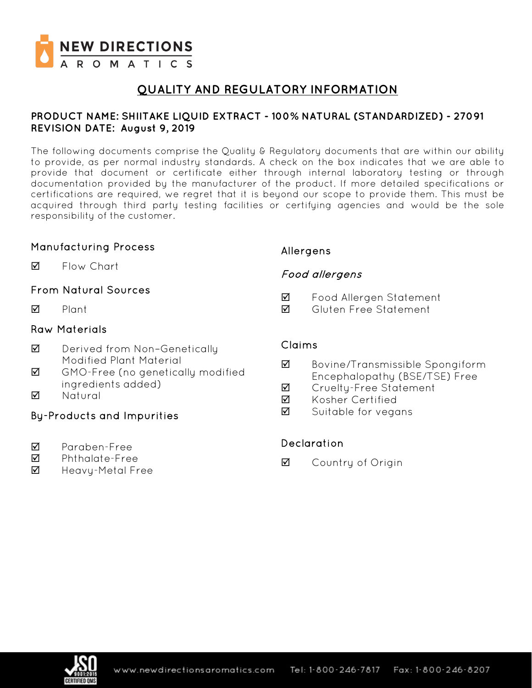

# **QUALITY AND REGULATORY INFORMATION**

### **PRODUCT NAME: SHIITAKE LIQUID EXTRACT - 100% NATURAL (STANDARDIZED) - 27091 REVISION DATE: August 9, 2019**

The following documents comprise the Quality & Regulatory documents that are within our ability to provide, as per normal industry standards. A check on the box indicates that we are able to provide that document or certificate either through internal laboratory testing or through documentation provided by the manufacturer of the product. If more detailed specifications or certifications are required, we regret that it is beyond our scope to provide them. This must be acquired through third party testing facilities or certifying agencies and would be the sole responsibility of the customer.

### Manufacturing Process

**M** Flow Chart

## From Natural Sources

 $\nabla$  Plant

### Raw Materials

- **Ø** Derived from Non-Genetically Modified Plant Material
- GMO-Free (no genetically modified ingredients added)
- **M** Natural

## By-Products and Impurities

- Paraben-Free
- Phthalate-Free
- $\boxtimes$  Heavy-Metal Free

## Allergens

## Food allergens

- Food Allergen Statement
- Gluten Free Statement

### Claims

- Bovine/Transmissible Spongiform Encephalopathy (BSE/TSE) Free
- **Ø** Crueltu-Free Statement
- **M** Kosher Certified
- $\overline{2}$  Suitable for vegans

## Declaration

**☑** Country of Origin

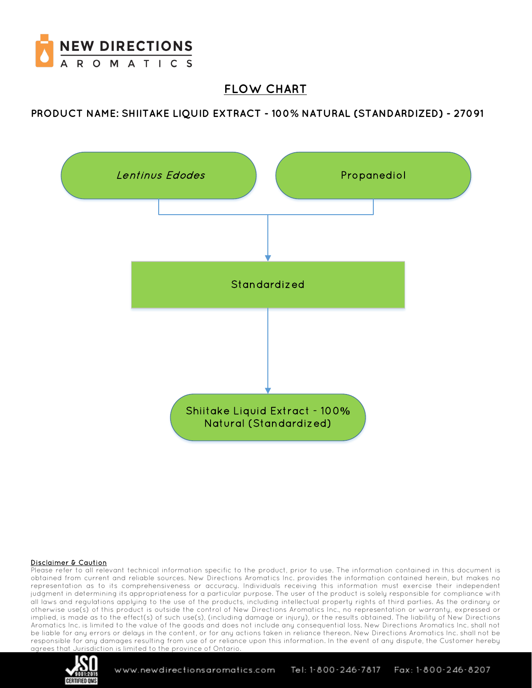

# **FLOW CHART**

**PRODUCT NAME: SHIITAKE LIQUID EXTRACT - 100% NATURAL (STANDARDIZED) - 27091**



#### Disclaimer & Caution

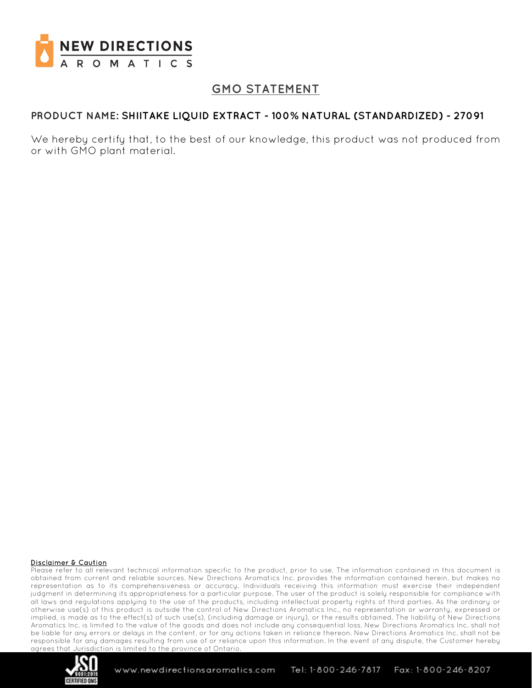

# **GMO STATEMENT**

### **PRODUCT NAME: SHIITAKE LIQUID EXTRACT - 100% NATURAL (STANDARDIZED) - 27091**

We hereby certify that, to the best of our knowledge, this product was not produced from or with GMO plant material.

#### Disclaimer & Caution

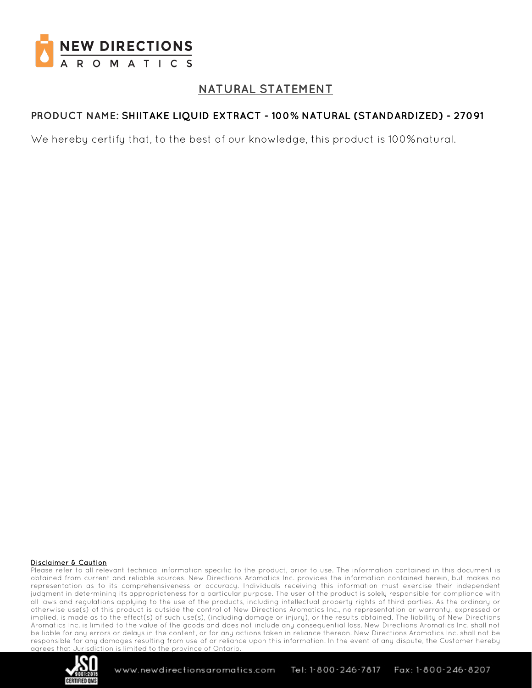

# **NATURAL STATEMENT**

## **PRODUCT NAME: SHIITAKE LIQUID EXTRACT - 100% NATURAL (STANDARDIZED) - 27091**

We hereby certify that, to the best of our knowledge, this product is 100%natural.

#### Disclaimer & Caution

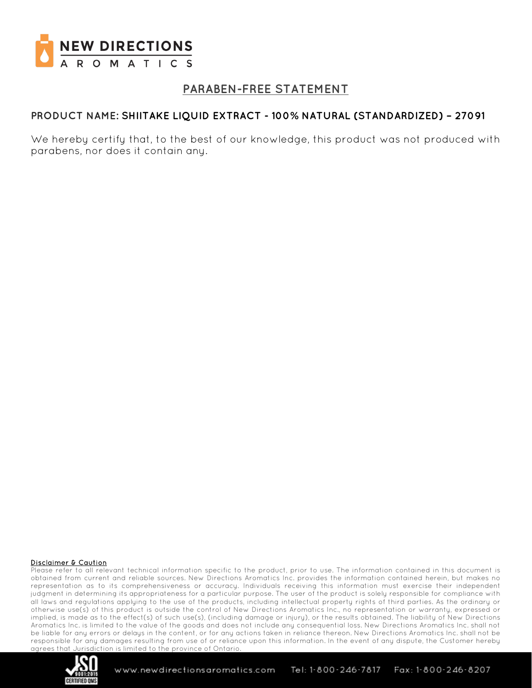

# **PARABEN-FREE STATEMENT**

### **PRODUCT NAME: SHIITAKE LIQUID EXTRACT - 100% NATURAL (STANDARDIZED) – 27091**

We hereby certify that, to the best of our knowledge, this product was not produced with parabens, nor does it contain any.

#### Disclaimer & Caution

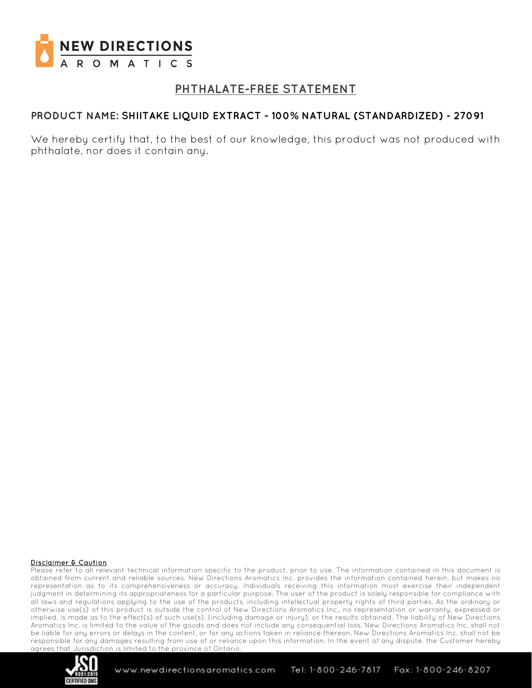

# **PHTHALATE-FREE STATEMENT**

### **PRODUCT NAME: SHIITAKE LIQUID EXTRACT - 100% NATURAL (STANDARDIZED) - 27091**

We hereby certify that, to the best of our knowledge, this product was not produced with phthalate, nor does it contain any.

#### Disclaimer & Caution

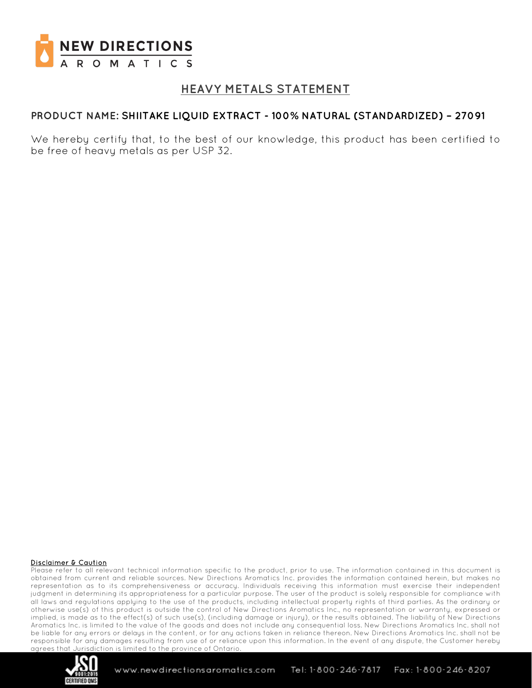

# **HEAVY METALS STATEMENT**

### **PRODUCT NAME: SHIITAKE LIQUID EXTRACT - 100% NATURAL (STANDARDIZED) – 27091**

We hereby certify that, to the best of our knowledge, this product has been certified to be free of heavy metals as per USP 32.

#### Disclaimer & Caution

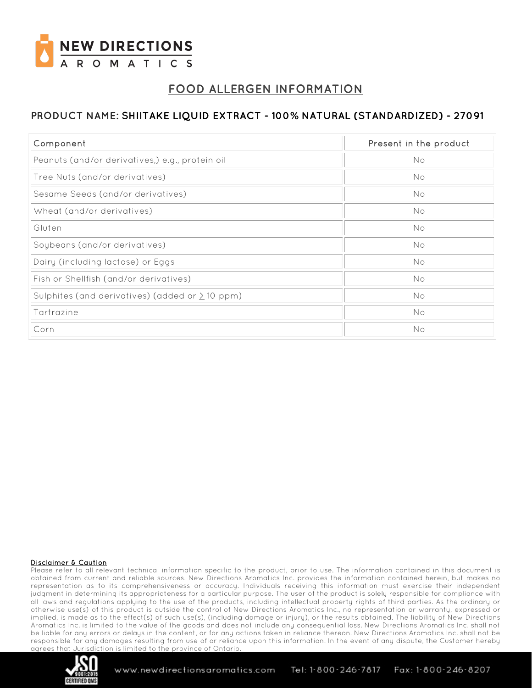

# **FOOD ALLERGEN INFORMATION**

## **PRODUCT NAME: SHIITAKE LIQUID EXTRACT - 100% NATURAL (STANDARDIZED) - 27091**

| Component                                            | Present in the product |
|------------------------------------------------------|------------------------|
| Peanuts (and/or derivatives,) e.g., protein oil      | No                     |
| Tree Nuts (and/or derivatives)                       | No                     |
| Sesame Seeds (and/or derivatives)                    | No                     |
| Wheat (and/or derivatives)                           | No                     |
| Gluten                                               | No                     |
| Soybeans (and/or derivatives)                        | No                     |
| Dairy (including lactose) or Eggs                    | No                     |
| Fish or Shellfish (and/or derivatives)               | No                     |
| Sulphites (and derivatives) (added or $\geq$ 10 ppm) | No                     |
| Tartrazine                                           | No                     |
| Corn                                                 | No                     |

#### Disclaimer & Caution

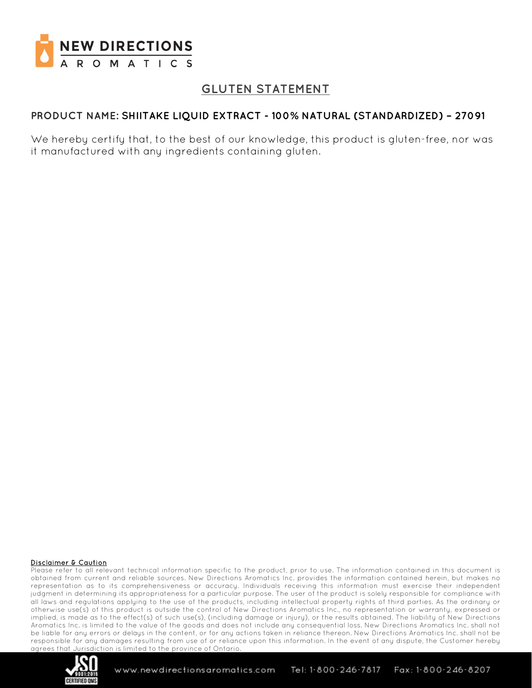

# **GLUTEN STATEMENT**

## **PRODUCT NAME: SHIITAKE LIQUID EXTRACT - 100% NATURAL (STANDARDIZED) – 27091**

We hereby certify that, to the best of our knowledge, this product is gluten-free, nor was it manufactured with any ingredients containing gluten.

#### Disclaimer & Caution

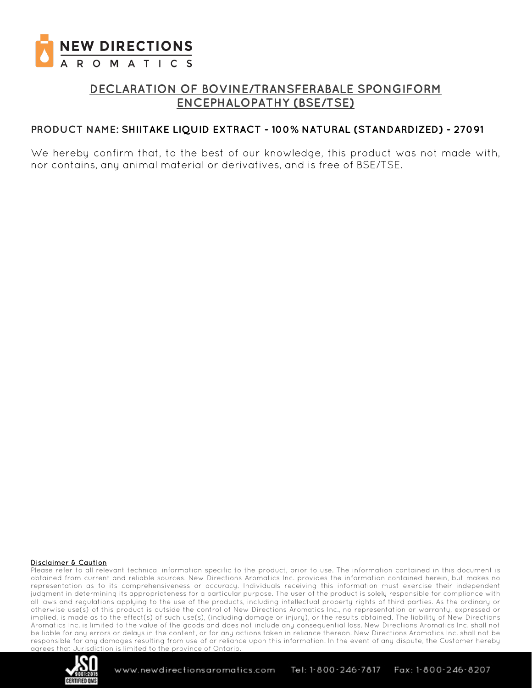

# **DECLARATION OF BOVINE/TRANSFERABALE SPONGIFORM ENCEPHALOPATHY (BSE/TSE)**

### **PRODUCT NAME: SHIITAKE LIQUID EXTRACT - 100% NATURAL (STANDARDIZED) - 27091**

We hereby confirm that, to the best of our knowledge, this product was not made with, nor contains, any animal material or derivatives, and is free of BSE/TSE.

#### Disclaimer & Caution

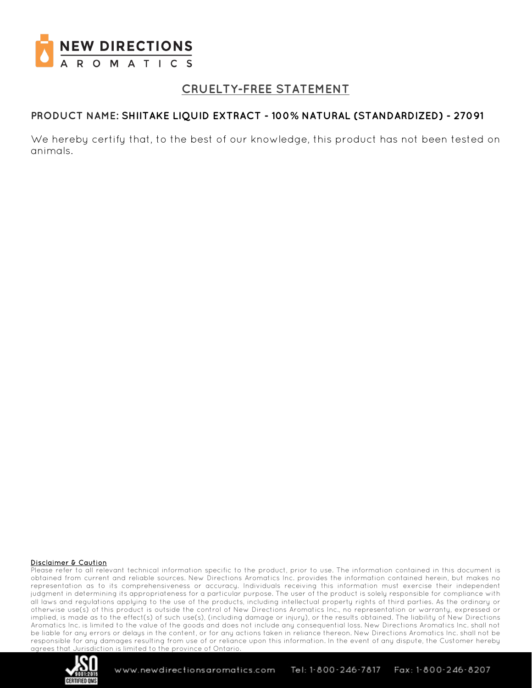

# **CRUELTY-FREE STATEMENT**

### **PRODUCT NAME: SHIITAKE LIQUID EXTRACT - 100% NATURAL (STANDARDIZED) - 27091**

We hereby certify that, to the best of our knowledge, this product has not been tested on animals.

#### Disclaimer & Caution

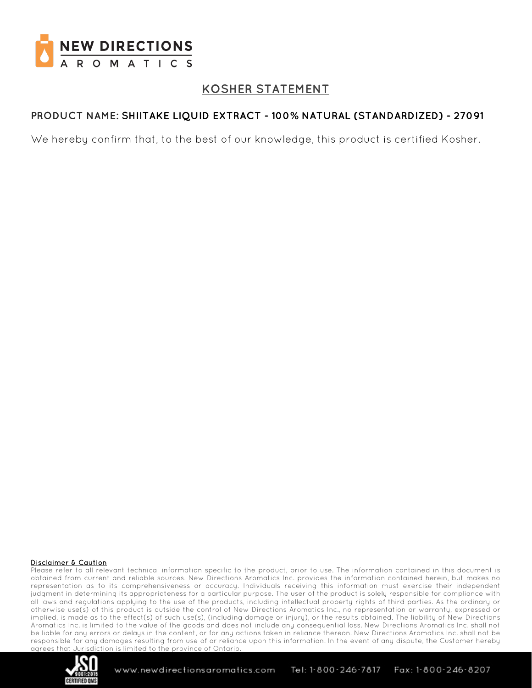

# **KOSHER STATEMENT**

## **PRODUCT NAME: SHIITAKE LIQUID EXTRACT - 100% NATURAL (STANDARDIZED) - 27091**

We hereby confirm that, to the best of our knowledge, this product is certified Kosher.

#### Disclaimer & Caution

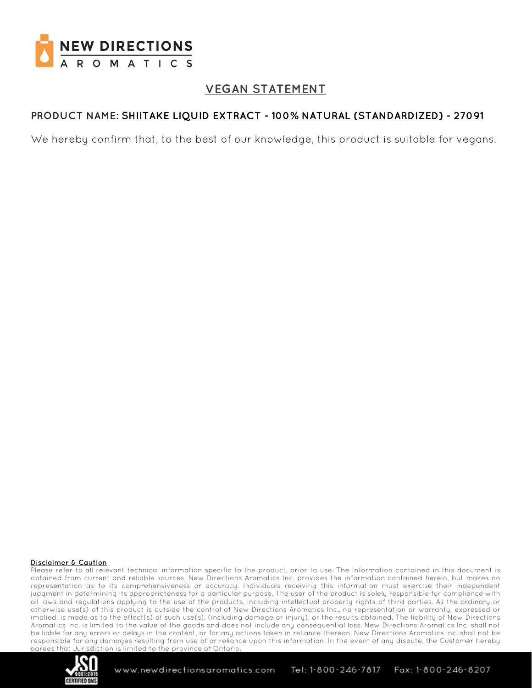

# **VEGAN STATEMENT**

## **PRODUCT NAME: SHIITAKE LIQUID EXTRACT - 100% NATURAL (STANDARDIZED) - 27091**

We hereby confirm that, to the best of our knowledge, this product is suitable for vegans.

#### Disclaimer & Caution